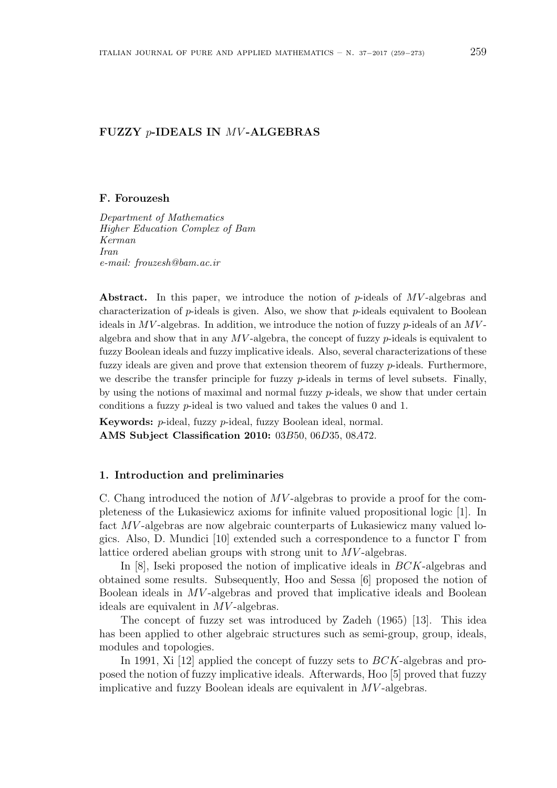# **FUZZY** *p***-IDEALS IN** *MV* **-ALGEBRAS**

#### **F. Forouzesh**

*Department of Mathematics Higher Education Complex of Bam Kerman Iran e-mail: frouzesh@bam.ac.ir*

**Abstract.** In this paper, we introduce the notion of *p*-ideals of *MV* -algebras and characterization of *p*-ideals is given. Also, we show that *p*-ideals equivalent to Boolean ideals in *MV* -algebras. In addition, we introduce the notion of fuzzy *p*-ideals of an *MV* algebra and show that in any *MV* -algebra, the concept of fuzzy *p*-ideals is equivalent to fuzzy Boolean ideals and fuzzy implicative ideals. Also, several characterizations of these fuzzy ideals are given and prove that extension theorem of fuzzy *p*-ideals. Furthermore, we describe the transfer principle for fuzzy *p*-ideals in terms of level subsets. Finally, by using the notions of maximal and normal fuzzy *p*-ideals, we show that under certain conditions a fuzzy *p*-ideal is two valued and takes the values 0 and 1.

**Keywords:** *p*-ideal, fuzzy *p*-ideal, fuzzy Boolean ideal, normal. **AMS Subject Classification 2010:** 03*B*50, 06*D*35, 08*A*72.

#### **1. Introduction and preliminaries**

C. Chang introduced the notion of *MV* -algebras to provide a proof for the completeness of the Lukasiewicz axioms for infinite valued propositional logic [1]. In fact *MV* -algebras are now algebraic counterparts of Lukasiewicz many valued logics. Also, D. Mundici [10] extended such a correspondence to a functor  $\Gamma$  from lattice ordered abelian groups with strong unit to *MV* -algebras.

In [8], Iseki proposed the notion of implicative ideals in *BCK*-algebras and obtained some results. Subsequently, Hoo and Sessa [6] proposed the notion of Boolean ideals in *MV* -algebras and proved that implicative ideals and Boolean ideals are equivalent in *MV* -algebras.

The concept of fuzzy set was introduced by Zadeh (1965) [13]. This idea has been applied to other algebraic structures such as semi-group, group, ideals, modules and topologies.

In 1991, Xi [12] applied the concept of fuzzy sets to *BCK*-algebras and proposed the notion of fuzzy implicative ideals. Afterwards, Hoo [5] proved that fuzzy implicative and fuzzy Boolean ideals are equivalent in *MV* -algebras.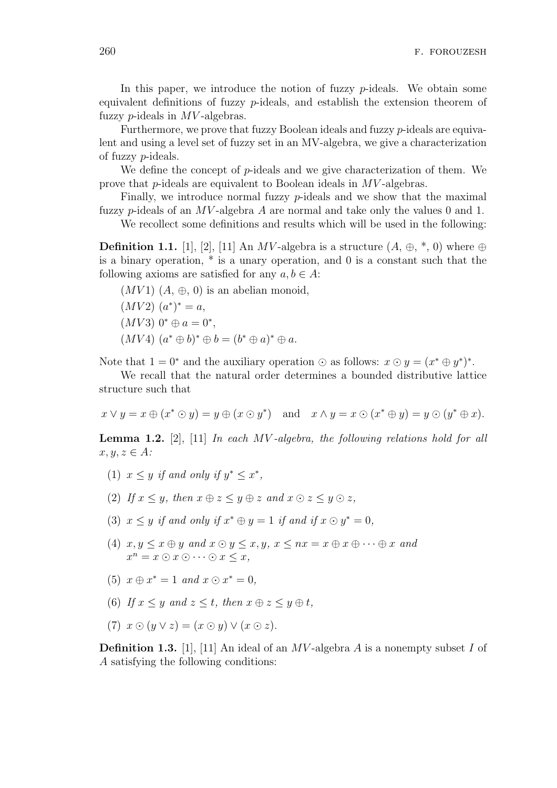In this paper, we introduce the notion of fuzzy *p*-ideals. We obtain some equivalent definitions of fuzzy *p*-ideals, and establish the extension theorem of fuzzy *p*-ideals in *MV* -algebras.

Furthermore, we prove that fuzzy Boolean ideals and fuzzy *p*-ideals are equivalent and using a level set of fuzzy set in an MV-algebra, we give a characterization of fuzzy *p*-ideals.

We define the concept of *p*-ideals and we give characterization of them. We prove that *p*-ideals are equivalent to Boolean ideals in *MV* -algebras.

Finally, we introduce normal fuzzy *p*-ideals and we show that the maximal fuzzy *p*-ideals of an *MV* -algebra *A* are normal and take only the values 0 and 1.

We recollect some definitions and results which will be used in the following:

**Definition 1.1.** [1], [2], [11] An *MV*-algebra is a structure  $(A, \oplus, *, 0)$  where  $\oplus$ is a binary operation, \* is a unary operation, and 0 is a constant such that the following axioms are satisfied for any  $a, b \in A$ :

 $(MV1)$   $(A, \oplus, 0)$  is an abelian monoid,  $(MV2)$   $(a^*)^* = a$ ,  $(MV3)$   $0^* \oplus a = 0^*$  $(MV4)$   $(a^* \oplus b)^* \oplus b = (b^* \oplus a)^* \oplus a$ .

Note that  $1 = 0^*$  and the auxiliary operation  $\odot$  as follows:  $x \odot y = (x^* \oplus y^*)^*$ .

We recall that the natural order determines a bounded distributive lattice structure such that

 $x \vee y = x \oplus (x^* \odot y) = y \oplus (x \odot y^*)$  and  $x \wedge y = x \odot (x^* \oplus y) = y \odot (y^* \oplus x)$ .

**Lemma 1.2.** [2], [11] *In each MV -algebra, the following relations hold for all*  $x, y, z \in A$ *:* 

- (1)  $x \leq y$  *if and only if*  $y^* \leq x^*$ ,
- (2) *If*  $x \leq y$ *, then*  $x \oplus z \leq y \oplus z$  *and*  $x \odot z \leq y \odot z$ *,*
- (3)  $x \leq y$  *if and only if*  $x^* \oplus y = 1$  *if and if*  $x \odot y^* = 0$ *,*
- (4)  $x, y \leq x \oplus y$  and  $x \odot y \leq x, y, x \leq nx = x \oplus x \oplus \cdots \oplus x$  and  $x^n = x \odot x \odot \cdots \odot x \leq x$ ,
- $(5)$   $x \oplus x^* = 1$  and  $x \odot x^* = 0$ ,
- (6) If  $x \leq y$  and  $z \leq t$ , then  $x \oplus z \leq y \oplus t$ ,
- $(T)$   $x \odot (y \vee z) = (x \odot y) \vee (x \odot z).$

**Definition 1.3.** [1], [11] An ideal of an *MV* -algebra *A* is a nonempty subset *I* of *A* satisfying the following conditions: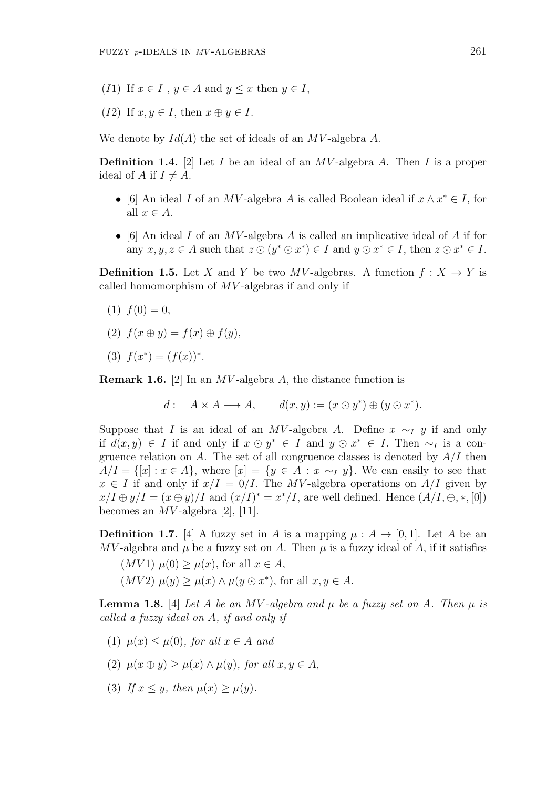- (*I*1) If  $x \in I$ ,  $y \in A$  and  $y \leq x$  then  $y \in I$ ,
- (*I*2) If  $x, y \in I$ , then  $x \oplus y \in I$ .

We denote by *Id*(*A*) the set of ideals of an *MV* -algebra *A*.

**Definition 1.4.** [2] Let *I* be an ideal of an *MV* -algebra *A*. Then *I* is a proper ideal of A if  $I \neq A$ .

- *•* [6] An ideal *I* of an *MV* -algebra *A* is called Boolean ideal if *x ∧ x <sup>∗</sup> ∈ I*, for all  $x \in A$ .
- *•* [6] An ideal *I* of an *MV* -algebra *A* is called an implicative ideal of *A* if for any  $x, y, z \in A$  such that  $z \odot (y^* \odot x^*) \in I$  and  $y \odot x^* \in I$ , then  $z \odot x^* \in I$ .

**Definition 1.5.** Let *X* and *Y* be two *MV*-algebras. A function  $f: X \to Y$  is called homomorphism of *MV* -algebras if and only if

- $(1) f(0) = 0,$
- $f(x \oplus y) = f(x) \oplus f(y),$
- (3)  $f(x^*) = (f(x))^*$ .

**Remark 1.6.** [2] In an *MV* -algebra *A*, the distance function is

$$
d: A \times A \longrightarrow A, \qquad d(x, y) := (x \odot y^*) \oplus (y \odot x^*).
$$

Suppose that *I* is an ideal of an *MV*-algebra *A*. Define  $x \sim_I y$  if and only if  $d(x, y)$  ∈ *I* if and only if  $x \odot y^*$  ∈ *I* and  $y \odot x^*$  ∈ *I*. Then  $\sim_I$  is a congruence relation on *A*. The set of all congruence classes is denoted by *A/I* then  $A/I = \{ [x] : x \in A \}$ , where  $[x] = \{ y \in A : x \sim_I y \}$ . We can easily to see that  $x \in I$  if and only if  $x/I = 0/I$ . The *MV*-algebra operations on *A/I* given by  $x/I \oplus y/I = (x \oplus y)/I$  and  $(x/I)^* = x^*/I$ , are well defined. Hence  $(A/I, \oplus, *, [0])$ becomes an *MV* -algebra [2], [11].

**Definition 1.7.** [4] A fuzzy set in *A* is a mapping  $\mu : A \rightarrow [0,1]$ . Let *A* be an *MV*-algebra and  $\mu$  be a fuzzy set on *A*. Then  $\mu$  is a fuzzy ideal of *A*, if it satisfies

 $(MV1)$   $\mu(0) > \mu(x)$ , for all  $x \in A$ ,  $(MV2)$   $\mu(y) \geq \mu(x) \wedge \mu(y \odot x^*)$ , for all  $x, y \in A$ .

**Lemma 1.8.** [4] *Let A be an MV* -algebra and  $\mu$  *be a fuzzy set on A. Then*  $\mu$  *is called a fuzzy ideal on A, if and only if*

- (1)  $\mu(x) \leq \mu(0)$ , for all  $x \in A$  and
- $\mu(x \oplus y) > \mu(x) \wedge \mu(y)$ , for all  $x, y \in A$ ,
- (3) *If*  $x \leq y$ *, then*  $\mu(x) \geq \mu(y)$ *.*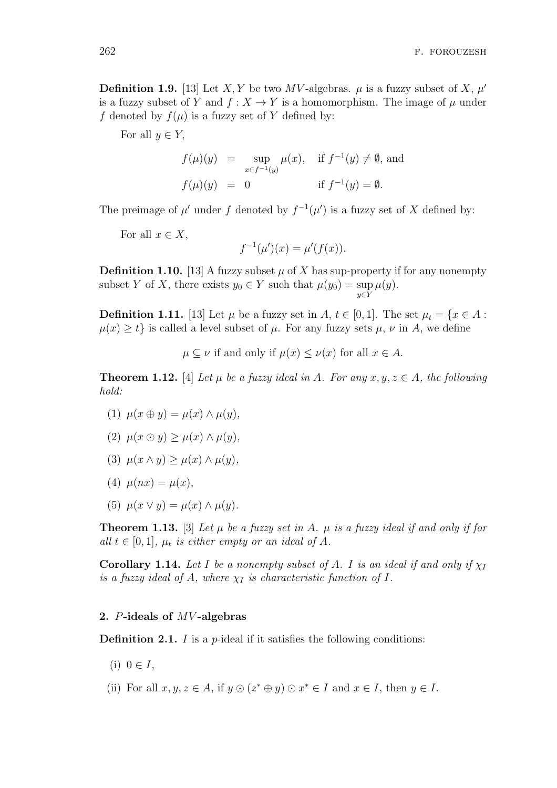**Definition 1.9.** [13] Let *X*, *Y* be two *MV*-algebras.  $\mu$  is a fuzzy subset of *X*,  $\mu'$ is a fuzzy subset of *Y* and  $f: X \to Y$  is a homomorphism. The image of  $\mu$  under *f* denoted by  $f(\mu)$  is a fuzzy set of *Y* defined by:

For all  $y \in Y$ ,

$$
f(\mu)(y) = \sup_{x \in f^{-1}(y)} \mu(x), \quad \text{if } f^{-1}(y) \neq \emptyset, \text{ and}
$$
  

$$
f(\mu)(y) = 0 \qquad \text{if } f^{-1}(y) = \emptyset.
$$

The preimage of  $\mu'$  under f denoted by  $f^{-1}(\mu')$  is a fuzzy set of X defined by:

For all  $x \in X$ ,

$$
f^{-1}(\mu')(x) = \mu'(f(x)).
$$

**Definition 1.10.** [13] A fuzzy subset  $\mu$  of X has sup-property if for any nonempty subset *Y* of *X*, there exists  $y_0 \in Y$  such that  $\mu(y_0) = \sup$ *y∈Y µ*(*y*)*.*

**Definition 1.11.** [13] Let  $\mu$  be a fuzzy set in  $A, t \in [0, 1]$ . The set  $\mu_t = \{x \in A :$  $\mu(x) \geq t$  is called a level subset of  $\mu$ . For any fuzzy sets  $\mu$ ,  $\nu$  in A, we define

 $\mu \subset \nu$  if and only if  $\mu(x) \leq \nu(x)$  for all  $x \in A$ .

**Theorem 1.12.** [4] *Let*  $\mu$  *be a fuzzy ideal in*  $A$ *. For any*  $x, y, z \in A$ *, the following hold:*

- $(1)$   $\mu(x \oplus y) = \mu(x) \wedge \mu(y),$
- (2) *µ*(*x ⊙ y*) *≥ µ*(*x*) *∧ µ*(*y*)*,*
- (3) *µ*(*x ∧ y*) *≥ µ*(*x*) *∧ µ*(*y*)*,*
- $(4)$   $\mu(nx) = \mu(x),$
- (5)  $\mu(x \vee y) = \mu(x) \wedge \mu(y)$ .

**Theorem 1.13.** [3] Let  $\mu$  be a fuzzy set in A.  $\mu$  is a fuzzy ideal if and only if for *all*  $t \in [0, 1]$ *,*  $\mu_t$  *is either empty or an ideal of A.* 

**Corollary 1.14.** Let I be a nonempty subset of A. I is an ideal if and only if  $\chi_I$ *is a fuzzy ideal of A, where*  $\chi_I$  *is characteristic function of I.* 

### **2.** *P***-ideals of** *MV* **-algebras**

**Definition 2.1.** *I* is a *p*-ideal if it satisfies the following conditions:

- $(i)$  0 ∈ *I*,
- (ii) For all  $x, y, z \in A$ , if  $y \odot (z^* \oplus y) \odot x^* \in I$  and  $x \in I$ , then  $y \in I$ .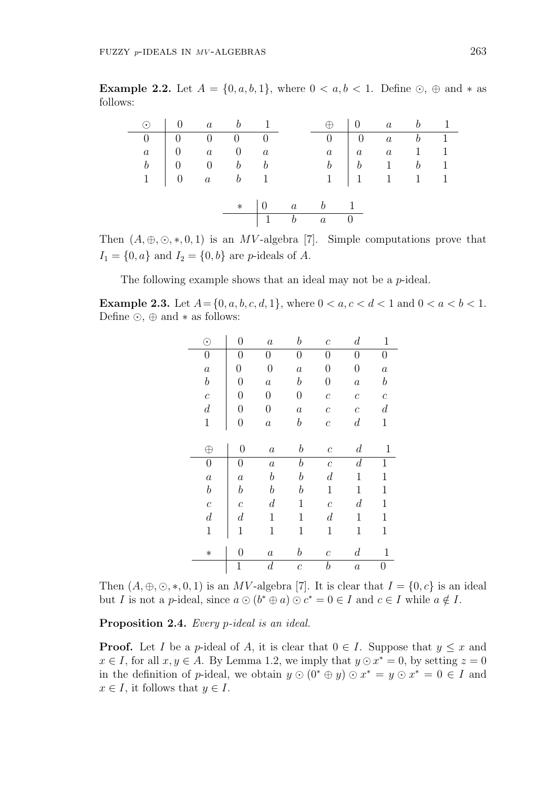**Example 2.2.** Let  $A = \{0, a, b, 1\}$ , where  $0 < a, b < 1$ . Define  $\odot$ ,  $\oplus$  and  $*$  as follows:

|  | $\odot$ 0 a b 1                                              |  |                                                 | $\oplus$ 0 a b 1                                                  |  |  |
|--|--------------------------------------------------------------|--|-------------------------------------------------|-------------------------------------------------------------------|--|--|
|  | $\begin{array}{ccccccc}\n\hline\n0 & 0 & 0 & 0\n\end{array}$ |  |                                                 | $\begin{array}{ c c c c c }\hline 0&0&a&b&1\\ \hline \end{array}$ |  |  |
|  | $a \quad   \quad 0 \qquad a \qquad 0 \qquad a$               |  |                                                 | $a \mid a \quad a \quad 1 \quad 1$                                |  |  |
|  | $b \begin{array}{ccc} b & 0 & 0 & b & b \end{array}$         |  |                                                 | $\begin{array}{c cccccc} b & b & 1 & b & 1 \end{array}$           |  |  |
|  | $1 \quad 0 \quad a \quad b \quad 1$                          |  |                                                 | $1 \quad 1 \quad 1 \quad 1 \quad 1$                               |  |  |
|  |                                                              |  |                                                 |                                                                   |  |  |
|  |                                                              |  | $*$   0 a b 1                                   |                                                                   |  |  |
|  |                                                              |  | $\begin{array}{cccc} 1 & b & a & 0 \end{array}$ |                                                                   |  |  |

Then  $(A, \oplus, \odot, *, 0, 1)$  is an *MV*-algebra [7]. Simple computations prove that  $I_1 = \{0, a\}$  and  $I_2 = \{0, b\}$  are *p*-ideals of *A*.

The following example shows that an ideal may not be a *p*-ideal.

**Example 2.3.** Let  $A = \{0, a, b, c, d, 1\}$ , where  $0 < a, c < d < 1$  and  $0 < a < b < 1$ . Define *⊙*, *⊕* and *∗* as follows:

| $_{\odot}$              | $\overline{0}$   | $\boldsymbol{a}$ | $\it b$          | $\mathcal C$            | $\,d$            | $\mathbf{1}$     |
|-------------------------|------------------|------------------|------------------|-------------------------|------------------|------------------|
| $\boldsymbol{0}$        | 0                | 0                | 0                | 0                       | 0                | 0                |
| $\boldsymbol{a}$        | $\boldsymbol{0}$ | $\overline{0}$   | $\boldsymbol{a}$ | $\boldsymbol{0}$        | $\boldsymbol{0}$ | $\boldsymbol{a}$ |
| $\boldsymbol{b}$        | $\overline{0}$   | $\boldsymbol{a}$ | $\boldsymbol{b}$ | $\boldsymbol{0}$        | $\boldsymbol{a}$ | $\boldsymbol{b}$ |
| $\mathcal{C}_{0}^{(n)}$ | $\overline{0}$   | $\overline{0}$   | $\boldsymbol{0}$ | $\mathcal{C}_{0}^{(n)}$ | $\boldsymbol{c}$ | $\boldsymbol{c}$ |
| $\boldsymbol{d}$        | 0                | $\boldsymbol{0}$ | $\boldsymbol{a}$ | $\boldsymbol{c}$        | $\mathcal C$     | $\boldsymbol{d}$ |
| $\mathbf{1}$            | $\boldsymbol{0}$ | $\boldsymbol{a}$ | $\boldsymbol{b}$ | $\boldsymbol{c}$        | $\boldsymbol{d}$ | $\mathbf{1}$     |
|                         |                  |                  |                  |                         |                  |                  |
| $\oplus$                | $\overline{0}$   | $\boldsymbol{a}$ | $\boldsymbol{b}$ | $\mathcal C$            | $\boldsymbol{d}$ | 1                |
| $\boldsymbol{0}$        | $\hspace{.0cm}0$ | $\boldsymbol{a}$ | $\boldsymbol{b}$ | $\mathcal C$            | $\boldsymbol{d}$ | $\mathbf{1}$     |
| $\boldsymbol{a}$        | $\boldsymbol{a}$ | $\boldsymbol{b}$ | $\boldsymbol{b}$ | $\boldsymbol{d}$        | 1                | 1                |
| $\boldsymbol{b}$        | $\it{b}$         | $\boldsymbol{b}$ | $\it b$          | 1                       | 1                | 1                |
| $\mathcal{C}_{0}^{(n)}$ | $\boldsymbol{c}$ | $\boldsymbol{d}$ | $\mathbf 1$      | $\boldsymbol{c}$        | $\boldsymbol{d}$ | $\mathbf 1$      |
| $\boldsymbol{d}$        | $\boldsymbol{d}$ | $\mathbf 1$      | 1                | $\boldsymbol{d}$        | 1                | $\mathbf{1}$     |
| $\mathbf{1}$            | 1                | $\mathbf 1$      | $\mathbf 1$      | $\mathbf 1$             | 1                | $\mathbf 1$      |
|                         |                  |                  |                  |                         |                  |                  |
| $\ast$                  | 0                | $\it a$          | $\it{b}$         | $\mathcal C$            | $\boldsymbol{d}$ | $\mathbf 1$      |
|                         | $\mathbf 1$      | $\boldsymbol{d}$ | $\boldsymbol{c}$ | $\boldsymbol{b}$        | $\boldsymbol{a}$ | 0                |

Then  $(A, \oplus, \odot, *, 0, 1)$  is an *MV*-algebra [7]. It is clear that  $I = \{0, c\}$  is an ideal but *I* is not a *p*-ideal, since  $a \odot (b^* \oplus a) \odot c^* = 0 \in I$  and  $c \in I$  while  $a \notin I$ .

**Proposition 2.4.** *Every p-ideal is an ideal.*

**Proof.** Let *I* be a *p*-ideal of *A*, it is clear that  $0 \in I$ . Suppose that  $y \leq x$  and *x* ∈ *I*, for all *x*, *y* ∈ *A*. By Lemma 1.2, we imply that  $y ⊙ x^* = 0$ , by setting  $z = 0$ in the definition of *p*-ideal, we obtain  $y \odot (0^* \oplus y) \odot x^* = y \odot x^* = 0 \in I$  and  $x \in I$ , it follows that  $y \in I$ .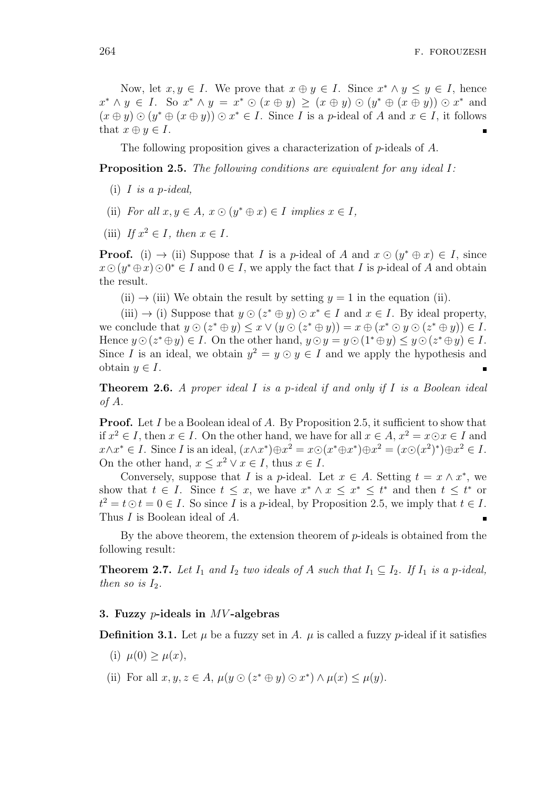Now, let  $x, y \in I$ . We prove that  $x \oplus y \in I$ . Since  $x^* \wedge y \leq y \in I$ , hence  $x^* \wedge y \in I$ . So  $x^* \wedge y = x^* \odot (x \oplus y) \ge (x \oplus y) \odot (y^* \oplus (x \oplus y)) \odot x^*$  and  $(x \oplus y) \odot (y^* \oplus (x \oplus y)) \odot x^* \in I$ . Since I is a p-ideal of A and  $x \in I$ , it follows that  $x \oplus y \in I$ .

The following proposition gives a characterization of *p*-ideals of *A*.

**Proposition 2.5.** *The following conditions are equivalent for any ideal I:*

- (i) *I is a p-ideal,*
- (ii) *For all*  $x, y \in A$ ,  $x \odot (y^* \oplus x) \in I$  *implies*  $x \in I$ *,*
- (iii) If  $x^2 \in I$ *, then*  $x \in I$ *.*

**Proof.** (i)  $\rightarrow$  (ii) Suppose that *I* is a *p*-ideal of *A* and  $x \odot (y^* \oplus x) \in I$ , since  $x \odot (y^* \oplus x) \odot 0^* \in I$  and  $0 \in I$ , we apply the fact that *I* is *p*-ideal of *A* and obtain the result.

 $(ii) \rightarrow (iii)$  We obtain the result by setting  $y = 1$  in the equation (ii).

 $(iii) \rightarrow (i)$  Suppose that  $y \odot (z^* \oplus y) \odot x^* \in I$  and  $x \in I$ . By ideal property, we conclude that  $y \odot (z^* \oplus y) \leq x \vee (y \odot (z^* \oplus y)) = x \oplus (x^* \odot y \odot (z^* \oplus y)) \in I$ . Hence  $y \odot (z^* \oplus y) \in I$ . On the other hand,  $y \odot y = y \odot (1^* \oplus y) \leq y \odot (z^* \oplus y) \in I$ . Since *I* is an ideal, we obtain  $y^2 = y \odot y \in I$  and we apply the hypothesis and obtain  $y \in I$ .

**Theorem 2.6.** *A proper ideal I is a p-ideal if and only if I is a Boolean ideal of A.*

**Proof.** Let *I* be a Boolean ideal of *A*. By Proposition 2.5, it sufficient to show that if  $x^2$  ∈ *I*, then  $x \in I$ . On the other hand, we have for all  $x \in A$ ,  $x^2 = x \odot x \in I$  and  $x \wedge x^* \in I$ . Since I is an ideal,  $(x \wedge x^*) \oplus x^2 = x \odot (x^* \oplus x^*) \oplus x^2 = (x \odot (x^2)^*) \oplus x^2 \in I$ . On the other hand,  $x \leq x^2 \lor x \in I$ , thus  $x \in I$ .

Conversely, suppose that *I* is a *p*-ideal. Let  $x \in A$ . Setting  $t = x \wedge x^*$ , we show that  $t \in I$ . Since  $t \leq x$ , we have  $x^* \wedge x \leq x^* \leq t^*$  and then  $t \leq t^*$  or  $t^2 = t \odot t = 0 \in I$ . So since *I* is a *p*-ideal, by Proposition 2.5, we imply that  $t \in I$ . Thus *I* is Boolean ideal of *A*.

By the above theorem, the extension theorem of *p*-ideals is obtained from the following result:

**Theorem 2.7.** *Let*  $I_1$  *and*  $I_2$  *two ideals of*  $A$  *such that*  $I_1 \subseteq I_2$ *. If*  $I_1$  *is a p-ideal, then so is*  $I_2$ *.* 

#### **3. Fuzzy** *p***-ideals in** *MV* **-algebras**

**Definition 3.1.** Let  $\mu$  be a fuzzy set in *A*.  $\mu$  is called a fuzzy *p*-ideal if it satisfies

- (i)  $\mu(0) \geq \mu(x)$ ,
- (ii) For all  $x, y, z \in A$ ,  $\mu(y \odot (z^* \oplus y) \odot x^*) \wedge \mu(x) \leq \mu(y)$ .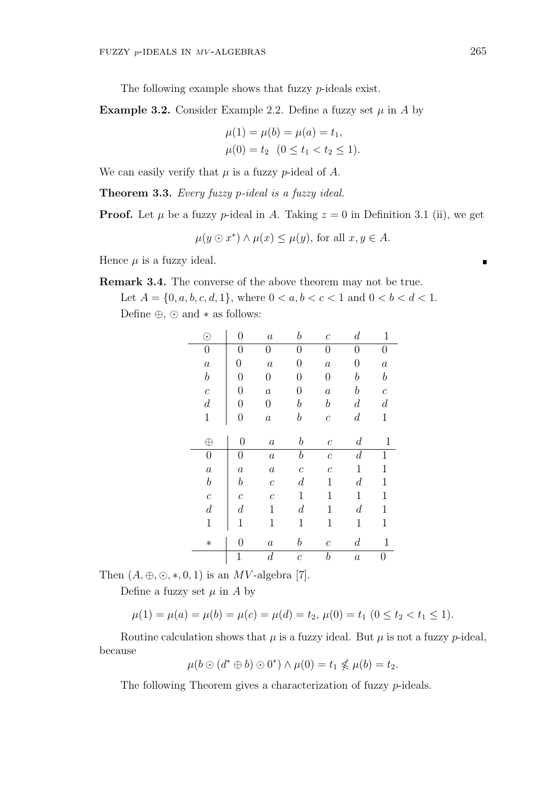The following example shows that fuzzy *p*-ideals exist.

**Example 3.2.** Consider Example 2.2. Define a fuzzy set  $\mu$  in *A* by

$$
\mu(1) = \mu(b) = \mu(a) = t_1,
$$
  

$$
\mu(0) = t_2 \quad (0 \le t_1 < t_2 \le 1).
$$

We can easily verify that  $\mu$  is a fuzzy *p*-ideal of  $A$ .

**Theorem 3.3.** *Every fuzzy p-ideal is a fuzzy ideal.*

**Proof.** Let  $\mu$  be a fuzzy  $p$ -ideal in *A*. Taking  $z = 0$  in Definition 3.1 (ii), we get

 $\mu(y \odot x^*) \wedge \mu(x) \leq \mu(y)$ , for all  $x, y \in A$ .

Hence  $\mu$  is a fuzzy ideal.

**Remark 3.4.** The converse of the above theorem may not be true.

Let  $A = \{0, a, b, c, d, 1\}$ , where  $0 < a, b < c < 1$  and  $0 < b < d < 1$ . Define *⊕*, *⊙* and *∗* as follows:

| $_{\odot}$       | $\overline{0}$   | $\boldsymbol{a}$ | $\it b$          | $\mathcal{C}_{0}^{0}$ | $\boldsymbol{d}$ | $\mathbf 1$      |
|------------------|------------------|------------------|------------------|-----------------------|------------------|------------------|
| $\boldsymbol{0}$ | $\overline{0}$   | 0                | $\boldsymbol{0}$ | $\boldsymbol{0}$      | 0                | $\overline{0}$   |
| $\boldsymbol{a}$ | $\boldsymbol{0}$ | $\boldsymbol{a}$ | $\overline{0}$   | $\boldsymbol{a}$      | $\overline{0}$   | $\boldsymbol{a}$ |
| $\boldsymbol{b}$ | $\overline{0}$   | $\overline{0}$   | 0                | $\boldsymbol{0}$      | $\it b$          | $\boldsymbol{b}$ |
| $\boldsymbol{c}$ | $\overline{0}$   | $\boldsymbol{a}$ | 0                | $\boldsymbol{a}$      | $\boldsymbol{b}$ | $\boldsymbol{c}$ |
| $\boldsymbol{d}$ | $\overline{0}$   | $\boldsymbol{0}$ | $\boldsymbol{b}$ | $\boldsymbol{b}$      | $\boldsymbol{d}$ | $\boldsymbol{d}$ |
| $\mathbf{1}$     | $\boldsymbol{0}$ | $\boldsymbol{a}$ | $\boldsymbol{b}$ | $\boldsymbol{c}$      | $\boldsymbol{d}$ | $\mathbf{1}$     |
|                  |                  |                  |                  |                       |                  |                  |
| $\oplus$         | $\boldsymbol{0}$ | $\boldsymbol{a}$ | $\boldsymbol{b}$ | $\mathcal C$          | $\boldsymbol{d}$ | $\mathbf 1$      |
| $\boldsymbol{0}$ | $\overline{0}$   | $\boldsymbol{a}$ | $\boldsymbol{b}$ | $\boldsymbol{c}$      | $\boldsymbol{d}$ | $\mathbf{1}$     |
| $\boldsymbol{a}$ | $\boldsymbol{a}$ | $\boldsymbol{a}$ | $\boldsymbol{c}$ | $\mathcal C$          | $\mathbf{1}$     | $\mathbf 1$      |
| $\boldsymbol{b}$ | $\boldsymbol{b}$ | $\overline{c}$   | $\boldsymbol{d}$ | 1                     | $\boldsymbol{d}$ | $\mathbf 1$      |
| $\boldsymbol{c}$ | $\boldsymbol{c}$ | $\overline{c}$   | $\mathbf{1}$     | $\mathbf 1$           | $\mathbf 1$      | $\mathbf 1$      |
| $\boldsymbol{d}$ | $\boldsymbol{d}$ | $\mathbf 1$      | $\boldsymbol{d}$ | $\mathbf 1$           | $\boldsymbol{d}$ | $\mathbf 1$      |
| $\mathbf 1$      | $\mathbf 1$      | $\mathbf 1$      | $\mathbf{1}$     | $\mathbf{1}$          | $\mathbf 1$      | $\mathbf{1}$     |
|                  |                  |                  |                  |                       |                  |                  |
| $\ast$           | $\overline{0}$   | $\boldsymbol{a}$ | $\boldsymbol{b}$ | $\boldsymbol{c}$      | $\boldsymbol{d}$ | $\mathbf 1$      |
|                  | $\mathbf 1$      | $\boldsymbol{d}$ | $\boldsymbol{c}$ | $\boldsymbol{b}$      | $\boldsymbol{a}$ | 0                |

Then  $(A, \oplus, \odot, *, 0, 1)$  is an *MV*-algebra [7].

Define a fuzzy set  $\mu$  in  $\Lambda$  by

$$
\mu(1) = \mu(a) = \mu(b) = \mu(c) = \mu(d) = t_2, \ \mu(0) = t_1 \ (0 \le t_2 < t_1 \le 1).
$$

Routine calculation shows that  $\mu$  is a fuzzy ideal. But  $\mu$  is not a fuzzy *p*-ideal, because

 $\mu(b \odot (d^* \oplus b) \odot 0^*) \wedge \mu(0) = t_1 \nleq \mu(b) = t_2.$ 

The following Theorem gives a characterization of fuzzy *p*-ideals.

 $\blacksquare$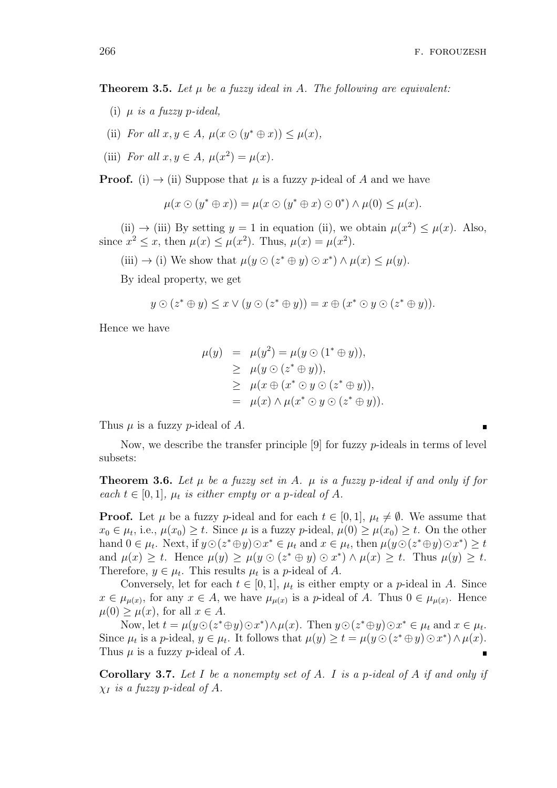**Theorem 3.5.** Let  $\mu$  be a fuzzy ideal in A. The following are equivalent:

- (i) *µ is a fuzzy p-ideal,*
- (ii) *For all*  $x, y \in A$ *,*  $\mu(x \odot (y^* \oplus x)) \leq \mu(x)$ *,*
- (iii) *For all*  $x, y \in A$ *,*  $\mu(x^2) = \mu(x)$ *.*

**Proof.** (i)  $\rightarrow$  (ii) Suppose that  $\mu$  is a fuzzy  $p$ -ideal of  $A$  and we have

$$
\mu(x \odot (y^* \oplus x)) = \mu(x \odot (y^* \oplus x) \odot 0^*) \wedge \mu(0) \leq \mu(x).
$$

(ii)  $\rightarrow$  (iii) By setting  $y = 1$  in equation (ii), we obtain  $\mu(x^2) \leq \mu(x)$ . Also, since  $x^2 \le x$ , then  $\mu(x) \le \mu(x^2)$ . Thus,  $\mu(x) = \mu(x^2)$ .

 $(iii) \rightarrow (i)$  We show that  $\mu(y \odot (z^* \oplus y) \odot x^*) \wedge \mu(x) \leq \mu(y)$ .

By ideal property, we get

$$
y \odot (z^* \oplus y) \leq x \vee (y \odot (z^* \oplus y)) = x \oplus (x^* \odot y \odot (z^* \oplus y)).
$$

Hence we have

$$
\mu(y) = \mu(y^2) = \mu(y \odot (1^* \oplus y)),
$$
  
\n
$$
\geq \mu(y \odot (z^* \oplus y)),
$$
  
\n
$$
\geq \mu(x \oplus (x^* \odot y \odot (z^* \oplus y)),
$$
  
\n
$$
= \mu(x) \wedge \mu(x^* \odot y \odot (z^* \oplus y)).
$$

Thus  $\mu$  is a fuzzy *p*-ideal of  $A$ .

Now, we describe the transfer principle [9] for fuzzy *p*-ideals in terms of level subsets:

**Theorem 3.6.** Let  $\mu$  be a fuzzy set in A.  $\mu$  is a fuzzy p-ideal if and only if for *each*  $t \in [0, 1]$ *,*  $\mu_t$  *is either empty or a p-ideal of A.* 

**Proof.** Let *µ* be a fuzzy *p*-ideal and for each  $t \in [0,1]$ ,  $\mu_t \neq \emptyset$ . We assume that  $x_0 \in \mu_t$ , i.e.,  $\mu(x_0) \ge t$ . Since  $\mu$  is a fuzzy *p*-ideal,  $\mu(0) \ge \mu(x_0) \ge t$ . On the other hand  $0 \in \mu_t$ . Next, if  $y \odot (z^* \oplus y) \odot x^* \in \mu_t$  and  $x \in \mu_t$ , then  $\mu(y \odot (z^* \oplus y) \odot x^*) \geq t$ and  $\mu(x) \geq t$ . Hence  $\mu(y) \geq \mu(y \odot (z^* \oplus y) \odot x^*) \wedge \mu(x) \geq t$ . Thus  $\mu(y) \geq t$ . Therefore,  $y \in \mu_t$ . This results  $\mu_t$  is a *p*-ideal of *A*.

Conversely, let for each  $t \in [0, 1]$ ,  $\mu_t$  is either empty or a *p*-ideal in *A*. Since  $x \in \mu_{\mu(x)}$ , for any  $x \in A$ , we have  $\mu_{\mu(x)}$  is a *p*-ideal of *A*. Thus  $0 \in \mu_{\mu(x)}$ . Hence  $\mu(0) \geq \mu(x)$ , for all  $x \in A$ .

Now, let  $t = \mu(y\odot(z^*\oplus y)\odot x^*) \wedge \mu(x)$ . Then  $y\odot(z^*\oplus y)\odot x^* \in \mu_t$  and  $x \in \mu_t$ . Since  $\mu_t$  is a p-ideal,  $y \in \mu_t$ . It follows that  $\mu(y) \ge t = \mu(y \odot (z^* \oplus y) \odot x^*) \wedge \mu(x)$ . Thus *µ* is a fuzzy *p*-ideal of *A*.

**Corollary 3.7.** *Let I be a nonempty set of A. I is a p-ideal of A if and only if χ<sup>I</sup> is a fuzzy p-ideal of A.*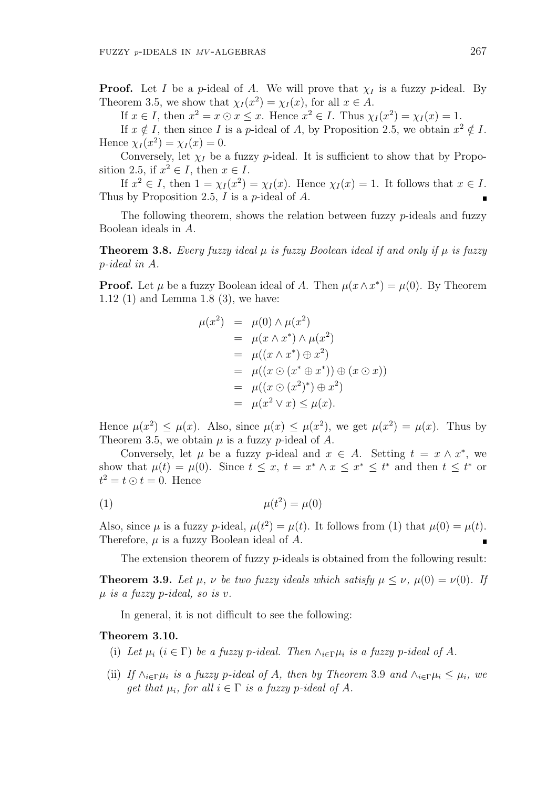**Proof.** Let *I* be a *p*-ideal of *A*. We will prove that  $\chi_I$  is a fuzzy *p*-ideal. By Theorem 3.5, we show that  $\chi_I(x^2) = \chi_I(x)$ , for all  $x \in A$ .

If  $x \in I$ , then  $x^2 = x \odot x \leq x$ . Hence  $x^2 \in I$ . Thus  $\chi_I(x^2) = \chi_I(x) = 1$ .

If  $x \notin I$ , then since *I* is a *p*-ideal of *A*, by Proposition 2.5, we obtain  $x^2 \notin I$ . Hence  $\chi_I(x^2) = \chi_I(x) = 0$ .

Conversely, let  $\chi_I$  be a fuzzy *p*-ideal. It is sufficient to show that by Proposition 2.5, if  $x^2 \in I$ , then  $x \in I$ .

If  $x^2 \in I$ , then  $1 = \chi_I(x^2) = \chi_I(x)$ . Hence  $\chi_I(x) = 1$ . It follows that  $x \in I$ . Thus by Proposition 2.5, *I* is a *p*-ideal of *A*.

The following theorem, shows the relation between fuzzy *p*-ideals and fuzzy Boolean ideals in *A*.

**Theorem 3.8.** *Every fuzzy ideal*  $\mu$  *is fuzzy Boolean ideal if and only if*  $\mu$  *is fuzzy p-ideal in A.*

**Proof.** Let  $\mu$  be a fuzzy Boolean ideal of *A*. Then  $\mu(x \wedge x^*) = \mu(0)$ . By Theorem 1.12 (1) and Lemma 1.8 (3), we have:

$$
\mu(x^2) = \mu(0) \wedge \mu(x^2)
$$
  
= 
$$
\mu(x \wedge x^*) \wedge \mu(x^2)
$$
  
= 
$$
\mu((x \wedge x^*) \oplus x^2)
$$
  
= 
$$
\mu((x \odot (x^* \oplus x^*)) \oplus (x \odot x))
$$
  
= 
$$
\mu((x \odot (x^2)^*) \oplus x^2)
$$
  
= 
$$
\mu(x^2 \vee x) \le \mu(x).
$$

Hence  $\mu(x^2) \leq \mu(x)$ . Also, since  $\mu(x) \leq \mu(x^2)$ , we get  $\mu(x^2) = \mu(x)$ . Thus by Theorem 3.5, we obtain  $\mu$  is a fuzzy *p*-ideal of  $A$ .

Conversely, let  $\mu$  be a fuzzy *p*-ideal and  $x \in A$ . Setting  $t = x \wedge x^*$ , we show that  $\mu(t) = \mu(0)$ . Since  $t \leq x$ ,  $t = x^* \wedge x \leq x^* \leq t^*$  and then  $t \leq t^*$  or  $t^2 = t \odot t = 0$ . Hence

$$
\mu(t^2) = \mu(0)
$$

Also, since  $\mu$  is a fuzzy *p*-ideal,  $\mu(t^2) = \mu(t)$ . It follows from (1) that  $\mu(0) = \mu(t)$ . Therefore, *µ* is a fuzzy Boolean ideal of *A*.

The extension theorem of fuzzy *p*-ideals is obtained from the following result:

**Theorem 3.9.** Let  $\mu$ ,  $\nu$  be two fuzzy ideals which satisfy  $\mu \leq \nu$ ,  $\mu(0) = \nu(0)$ . If *µ is a fuzzy p-ideal, so is v.*

In general, it is not difficult to see the following:

#### **Theorem 3.10.**

- (i) Let  $\mu_i$  ( $i \in \Gamma$ ) be a fuzzy *p*-ideal. Then  $\wedge_{i \in \Gamma} \mu_i$  is a fuzzy *p*-ideal of A.
- (ii) If  $\wedge_{i\in\Gamma}\mu_i$  is a fuzzy p-ideal of A, then by Theorem 3.9 and  $\wedge_{i\in\Gamma}\mu_i \leq \mu_i$ , we *get that*  $\mu_i$ , *for all*  $i \in \Gamma$  *is a fuzzy p*-*ideal of A.*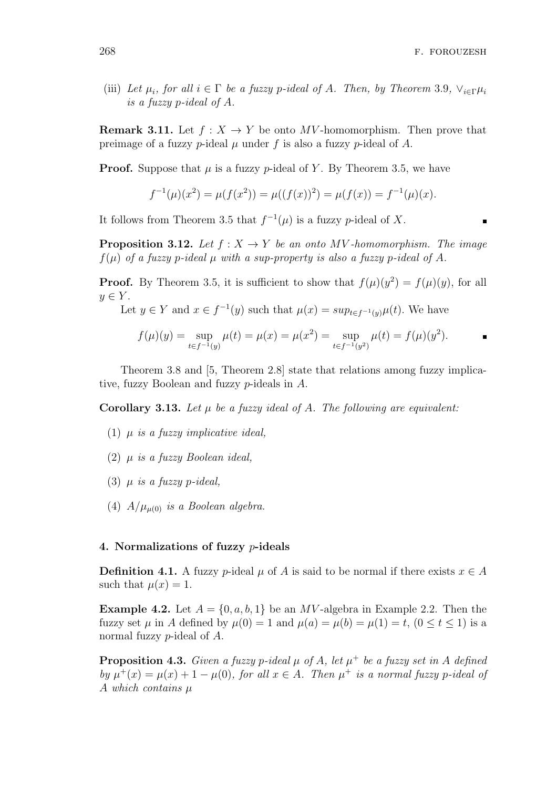(iii) Let  $\mu_i$ , for all  $i \in \Gamma$  be a fuzzy p-ideal of A. Then, by Theorem 3.9,  $\vee_{i \in \Gamma} \mu_i$ *is a fuzzy p-ideal of A.*

**Remark 3.11.** Let  $f: X \to Y$  be onto MV-homomorphism. Then prove that preimage of a fuzzy *p*-ideal  $\mu$  under  $f$  is also a fuzzy *p*-ideal of  $A$ .

**Proof.** Suppose that  $\mu$  is a fuzzy  $p$ -ideal of Y. By Theorem 3.5, we have

$$
f^{-1}(\mu)(x^2) = \mu(f(x^2)) = \mu((f(x))^2) = \mu(f(x)) = f^{-1}(\mu)(x).
$$

It follows from Theorem 3.5 that  $f^{-1}(\mu)$  is a fuzzy *p*-ideal of *X*.

**Proposition 3.12.** *Let*  $f: X \rightarrow Y$  *be an onto*  $MV$  *-homomorphism. The image*  $f(\mu)$  *of a fuzzy p-ideal*  $\mu$  *with a sup-property is also a fuzzy p-ideal of A.* 

**Proof.** By Theorem 3.5, it is sufficient to show that  $f(\mu)(y^2) = f(\mu)(y)$ , for all  $y \in Y$ .

Let  $y \in Y$  and  $x \in f^{-1}(y)$  such that  $\mu(x) = \sup_{t \in f^{-1}(y)} \mu(t)$ . We have

$$
f(\mu)(y) = \sup_{t \in f^{-1}(y)} \mu(t) = \mu(x) = \mu(x^2) = \sup_{t \in f^{-1}(y^2)} \mu(t) = f(\mu)(y^2).
$$

Theorem 3.8 and [5, Theorem 2.8] state that relations among fuzzy implicative, fuzzy Boolean and fuzzy *p*-ideals in *A*.

**Corollary 3.13.** Let  $\mu$  be a fuzzy ideal of  $A$ . The following are equivalent:

- (1) *µ is a fuzzy implicative ideal,*
- (2) *µ is a fuzzy Boolean ideal,*
- (3)  $\mu$  *is a fuzzy p*-*ideal*,
- (4)  $A/\mu_{\mu(0)}$  *is a Boolean algebra.*

### **4. Normalizations of fuzzy** *p***-ideals**

**Definition 4.1.** A fuzzy *p*-ideal  $\mu$  of *A* is said to be normal if there exists  $x \in A$ such that  $\mu(x) = 1$ .

**Example 4.2.** Let  $A = \{0, a, b, 1\}$  be an *MV*-algebra in Example 2.2. Then the fuzzy set  $\mu$  in *A* defined by  $\mu(0) = 1$  and  $\mu(a) = \mu(b) = \mu(1) = t$ ,  $(0 \le t \le 1)$  is a normal fuzzy *p*-ideal of *A*.

**Proposition 4.3.** *Given a fuzzy p-ideal*  $\mu$  *of*  $A$ *, let*  $\mu^+$  *be a fuzzy set in*  $A$  *defined by*  $\mu^+(x) = \mu(x) + 1 - \mu(0)$ *, for all*  $x \in A$ *. Then*  $\mu^+$  *is a normal fuzzy p*-*ideal of A which contains µ*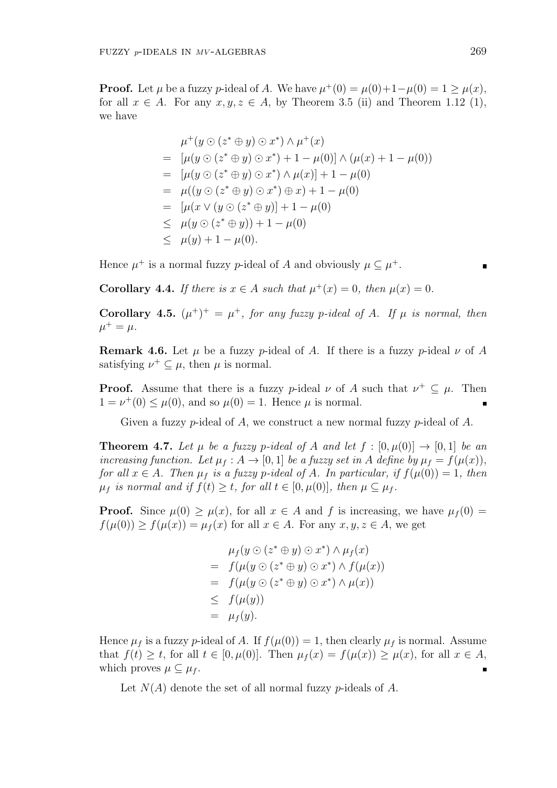**Proof.** Let  $\mu$  be a fuzzy  $p$ -ideal of  $A$ . We have  $\mu^+(0) = \mu(0) + 1 - \mu(0) = 1 \ge \mu(x)$ , for all  $x \in A$ . For any  $x, y, z \in A$ , by Theorem 3.5 (ii) and Theorem 1.12 (1), we have

$$
\mu^+(y \odot (z^* \oplus y) \odot x^*) \wedge \mu^+(x)
$$
\n
$$
= [\mu(y \odot (z^* \oplus y) \odot x^*) + 1 - \mu(0)] \wedge (\mu(x) + 1 - \mu(0))
$$
\n
$$
= [\mu(y \odot (z^* \oplus y) \odot x^*) \wedge \mu(x)] + 1 - \mu(0)
$$
\n
$$
= \mu((y \odot (z^* \oplus y) \odot x^*) \oplus x) + 1 - \mu(0)
$$
\n
$$
= [\mu(x \vee (y \odot (z^* \oplus y))] + 1 - \mu(0)
$$
\n
$$
\leq \mu(y \odot (z^* \oplus y)) + 1 - \mu(0)
$$
\n
$$
\leq \mu(y) + 1 - \mu(0).
$$

Hence  $\mu^+$  is a normal fuzzy *p*-ideal of *A* and obviously  $\mu \subseteq \mu^+$ .

**Corollary 4.4.** *If there is*  $x \in A$  *such that*  $\mu^+(x) = 0$ *, then*  $\mu(x) = 0$ *.* 

**Corollary 4.5.**  $(\mu^+)^+ = \mu^+$ , for any fuzzy p-ideal of A. If  $\mu$  is normal, then  $\mu^{+} = \mu$ .

**Remark 4.6.** Let  $\mu$  be a fuzzy  $p$ -ideal of  $A$ . If there is a fuzzy  $p$ -ideal  $\nu$  of  $A$ satisfying  $\nu^+ \subseteq \mu$ , then  $\mu$  is normal.

**Proof.** Assume that there is a fuzzy *p*-ideal  $\nu$  of *A* such that  $\nu^+ \subseteq \mu$ . Then  $1 = \nu^+(0) \leq \mu(0)$ , and so  $\mu(0) = 1$ . Hence  $\mu$  is normal.

Given a fuzzy *p*-ideal of *A*, we construct a new normal fuzzy *p*-ideal of *A*.

**Theorem 4.7.** Let  $\mu$  be a fuzzy p-ideal of A and let  $f : [0, \mu(0)] \rightarrow [0, 1]$  be an *increasing function.* Let  $\mu_f : A \to [0,1]$  *be a fuzzy set in A define by*  $\mu_f = f(\mu(x))$ *, for all*  $x \in A$ *. Then*  $\mu_f$  *is a fuzzy p*-ideal of A. In particular, if  $f(\mu(0)) = 1$ *, then*  $\mu_f$  *is normal and if*  $f(t) \geq t$ *, for all*  $t \in [0, \mu(0)]$ *, then*  $\mu \subseteq \mu_f$ *.* 

**Proof.** Since  $\mu(0) \geq \mu(x)$ , for all  $x \in A$  and f is increasing, we have  $\mu_f(0) =$  $f(\mu(0)) \ge f(\mu(x)) = \mu_f(x)$  for all  $x \in A$ . For any  $x, y, z \in A$ , we get

$$
\mu_f(y \odot (z^* \oplus y) \odot x^*) \wedge \mu_f(x)
$$
\n
$$
= f(\mu(y \odot (z^* \oplus y) \odot x^*) \wedge f(\mu(x)))
$$
\n
$$
= f(\mu(y \odot (z^* \oplus y) \odot x^*) \wedge \mu(x))
$$
\n
$$
\leq f(\mu(y))
$$
\n
$$
= \mu_f(y).
$$

Hence  $\mu_f$  is a fuzzy *p*-ideal of *A*. If  $f(\mu(0)) = 1$ , then clearly  $\mu_f$  is normal. Assume that *f*(*t*) ≥ *t*, for all *t* ∈ [0,  $\mu$ (0)]. Then  $\mu$ <sub>*f*</sub>(*x*) = *f*( $\mu$ (*x*)) ≥  $\mu$ (*x*), for all *x* ∈ *A*, which proves  $\mu \subseteq \mu_f$ .  $\blacksquare$ 

Let *N*(*A*) denote the set of all normal fuzzy *p*-ideals of *A*.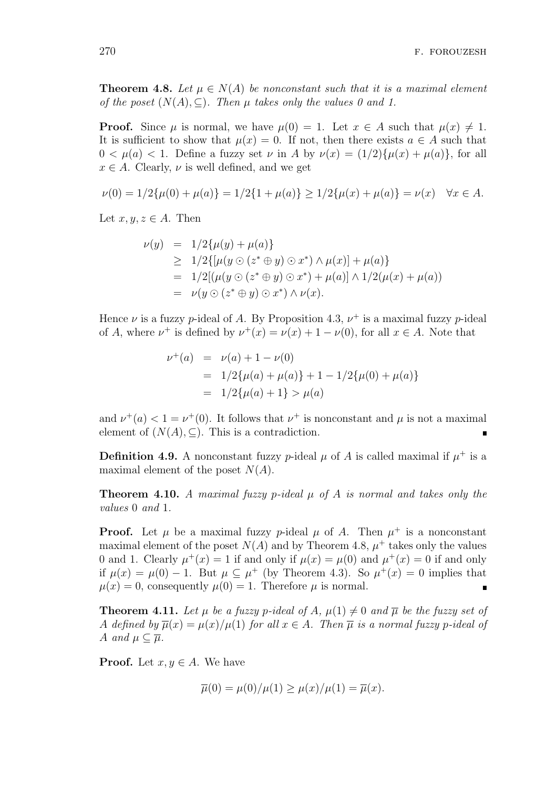**Theorem 4.8.** Let  $\mu \in N(A)$  be nonconstant such that it is a maximal element *of the poset*  $(N(A), \subseteq)$ *. Then*  $\mu$  *takes only the values 0 and 1.* 

**Proof.** Since  $\mu$  is normal, we have  $\mu(0) = 1$ . Let  $x \in A$  such that  $\mu(x) \neq 1$ . It is sufficient to show that  $\mu(x) = 0$ . If not, then there exists  $a \in A$  such that  $0 < \mu(a) < 1$ . Define a fuzzy set  $\nu$  in *A* by  $\nu(x) = (1/2)\{\mu(x) + \mu(a)\}\text{, for all }$  $x \in A$ . Clearly,  $\nu$  is well defined, and we get

$$
\nu(0) = 1/2\{\mu(0) + \mu(a)\} = 1/2\{1 + \mu(a)\} \ge 1/2\{\mu(x) + \mu(a)\} = \nu(x) \quad \forall x \in A.
$$

Let  $x, y, z \in A$ . Then

$$
\nu(y) = 1/2\{\mu(y) + \mu(a)\}\
$$
  
\n
$$
\geq 1/2\{[\mu(y \odot (z^* \oplus y) \odot x^*) \wedge \mu(x)] + \mu(a)\}\
$$
  
\n
$$
= 1/2[(\mu(y \odot (z^* \oplus y) \odot x^*) + \mu(a)] \wedge 1/2(\mu(x) + \mu(a))\)
$$
  
\n
$$
= \nu(y \odot (z^* \oplus y) \odot x^*) \wedge \nu(x).
$$

Hence  $\nu$  is a fuzzy *p*-ideal of *A*. By Proposition 4.3,  $\nu^+$  is a maximal fuzzy *p*-ideal of *A*, where  $\nu^+$  is defined by  $\nu^+(x) = \nu(x) + 1 - \nu(0)$ , for all  $x \in A$ . Note that

$$
\nu^+(a) = \nu(a) + 1 - \nu(0)
$$
  
=  $1/2{\mu(a) + \mu(a)} + 1 - 1/2{\mu(0) + \mu(a)}$   
=  $1/2{\mu(a) + 1} > \mu(a)$ 

and  $\nu^+(a) < 1 = \nu^+(0)$ . It follows that  $\nu^+$  is nonconstant and  $\mu$  is not a maximal element of  $(N(A), \subseteq)$ . This is a contradiction.

**Definition 4.9.** A nonconstant fuzzy *p*-ideal  $\mu$  of *A* is called maximal if  $\mu^+$  is a maximal element of the poset *N*(*A*).

**Theorem 4.10.** *A maximal fuzzy p-ideal µ of A is normal and takes only the values* 0 *and* 1*.*

**Proof.** Let  $\mu$  be a maximal fuzzy *p*-ideal  $\mu$  of *A*. Then  $\mu^+$  is a nonconstant maximal element of the poset  $N(A)$  and by Theorem 4.8,  $\mu^+$  takes only the values 0 and 1. Clearly  $\mu^+(x) = 1$  if and only if  $\mu(x) = \mu(0)$  and  $\mu^+(x) = 0$  if and only if  $\mu(x) = \mu(0) - 1$ . But  $\mu \subseteq \mu^+$  (by Theorem 4.3). So  $\mu^+(x) = 0$  implies that  $\mu(x) = 0$ , consequently  $\mu(0) = 1$ . Therefore  $\mu$  is normal.

**Theorem 4.11.** Let  $\mu$  be a fuzzy p-ideal of A,  $\mu(1) \neq 0$  and  $\overline{\mu}$  be the fuzzy set of *A defined by*  $\overline{\mu}(x) = \mu(x)/\mu(1)$  *for all*  $x \in A$ *. Then*  $\overline{\mu}$  *is a normal fuzzy p*-*ideal of A and*  $\mu \subset \overline{\mu}$ *.* 

**Proof.** Let  $x, y \in A$ . We have

$$
\overline{\mu}(0) = \mu(0)/\mu(1) \ge \mu(x)/\mu(1) = \overline{\mu}(x).
$$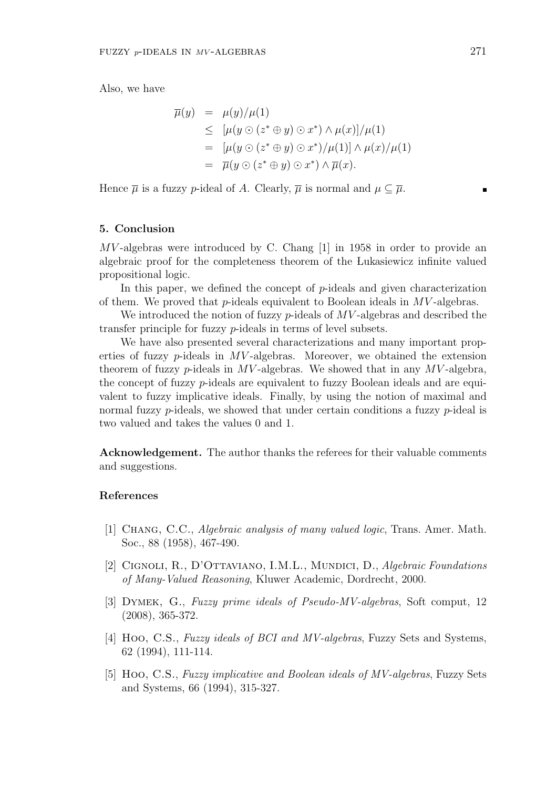$$
\overline{\mu}(y) = \mu(y)/\mu(1)
$$
\n
$$
\leq [\mu(y \odot (z^* \oplus y) \odot x^*) \wedge \mu(x)]/\mu(1)
$$
\n
$$
= [\mu(y \odot (z^* \oplus y) \odot x^*)/\mu(1)] \wedge \mu(x)/\mu(1)
$$
\n
$$
= \overline{\mu}(y \odot (z^* \oplus y) \odot x^*) \wedge \overline{\mu}(x).
$$

Hence  $\overline{\mu}$  is a fuzzy *p*-ideal of *A*. Clearly,  $\overline{\mu}$  is normal and  $\mu \subset \overline{\mu}$ .

#### **5. Conclusion**

*MV* -algebras were introduced by C. Chang [1] in 1958 in order to provide an algebraic proof for the completeness theorem of the Lukasiewicz infinite valued propositional logic.

In this paper, we defined the concept of *p*-ideals and given characterization of them. We proved that *p*-ideals equivalent to Boolean ideals in *MV* -algebras.

We introduced the notion of fuzzy *p*-ideals of *MV* -algebras and described the transfer principle for fuzzy *p*-ideals in terms of level subsets.

We have also presented several characterizations and many important properties of fuzzy  $p$ -ideals in  $MV$ -algebras. Moreover, we obtained the extension theorem of fuzzy *p*-ideals in *MV* -algebras. We showed that in any *MV* -algebra, the concept of fuzzy *p*-ideals are equivalent to fuzzy Boolean ideals and are equivalent to fuzzy implicative ideals. Finally, by using the notion of maximal and normal fuzzy *p*-ideals, we showed that under certain conditions a fuzzy *p*-ideal is two valued and takes the values 0 and 1.

**Acknowledgement.** The author thanks the referees for their valuable comments and suggestions.

# **References**

- [1] Chang, C.C., *Algebraic analysis of many valued logic*, Trans. Amer. Math. Soc., 88 (1958), 467-490.
- [2] CIGNOLI, R., D'OTTAVIANO, I.M.L., MUNDICI, D., *Algebraic Foundations of Many-Valued Reasoning*, Kluwer Academic, Dordrecht, 2000.
- [3] Dymek, G., *Fuzzy prime ideals of Pseudo-MV-algebras*, Soft comput, 12 (2008), 365-372.
- [4] Hoo, C.S., *Fuzzy ideals of BCI and MV-algebras*, Fuzzy Sets and Systems, 62 (1994), 111-114.
- [5] Hoo, C.S., *Fuzzy implicative and Boolean ideals of MV-algebras*, Fuzzy Sets and Systems, 66 (1994), 315-327.